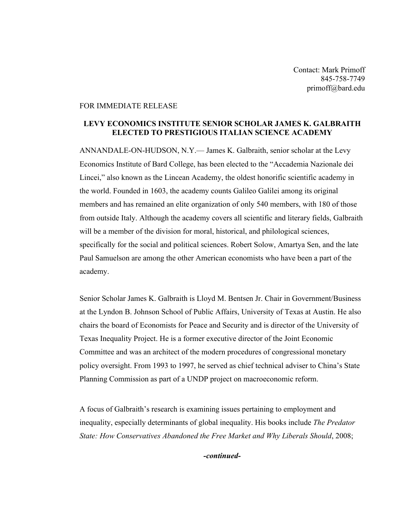Contact: Mark Primoff 845-758-7749 primoff@bard.edu

## FOR IMMEDIATE RELEASE

## **LEVY ECONOMICS INSTITUTE SENIOR SCHOLAR JAMES K. GALBRAITH ELECTED TO PRESTIGIOUS ITALIAN SCIENCE ACADEMY**

ANNANDALE-ON-HUDSON, N.Y.— James K. Galbraith, senior scholar at the Levy Economics Institute of Bard College, has been elected to the "Accademia Nazionale dei Lincei," also known as the Lincean Academy, the oldest honorific scientific academy in the world. Founded in 1603, the academy counts Galileo Galilei among its original members and has remained an elite organization of only 540 members, with 180 of those from outside Italy. Although the academy covers all scientific and literary fields, Galbraith will be a member of the division for moral, historical, and philological sciences, specifically for the social and political sciences. Robert Solow, Amartya Sen, and the late Paul Samuelson are among the other American economists who have been a part of the academy.

Senior Scholar James K. Galbraith is Lloyd M. Bentsen Jr. Chair in Government/Business at the Lyndon B. Johnson School of Public Affairs, University of Texas at Austin. He also chairs the board of Economists for Peace and Security and is director of the University of Texas Inequality Project. He is a former executive director of the Joint Economic Committee and was an architect of the modern procedures of congressional monetary policy oversight. From 1993 to 1997, he served as chief technical adviser to China's State Planning Commission as part of a UNDP project on macroeconomic reform.

A focus of Galbraith's research is examining issues pertaining to employment and inequality, especially determinants of global inequality. His books include *The Predator State: How Conservatives Abandoned the Free Market and Why Liberals Should*, 2008;

*-continued-*